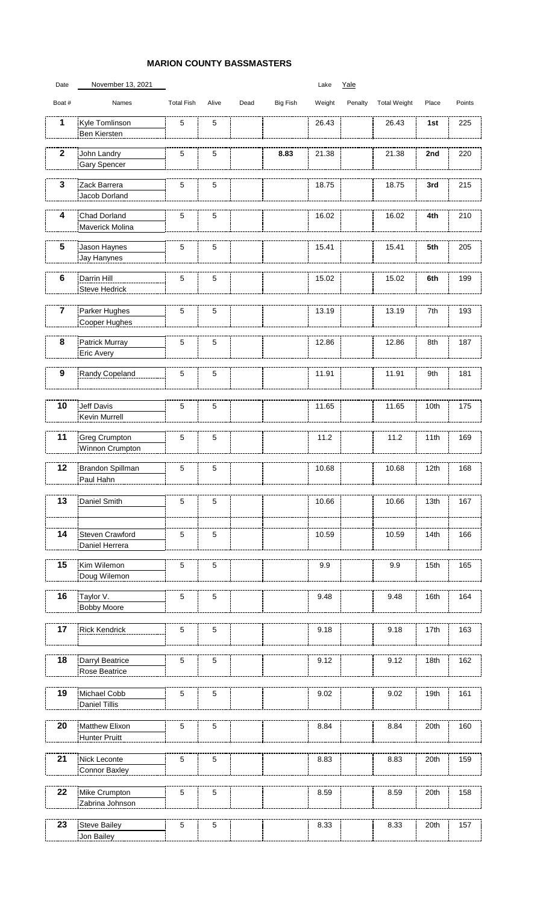## **MARION COUNTY BASSMASTERS**

| Date                    | November 13, 2021                      |                   |       |      |          | Lake   | Yale    |                     |       |        |
|-------------------------|----------------------------------------|-------------------|-------|------|----------|--------|---------|---------------------|-------|--------|
| Boat #                  | Names                                  | <b>Total Fish</b> | Alive | Dead | Big Fish | Weight | Penalty | <b>Total Weight</b> | Place | Points |
| 1                       | Kyle Tomlinson<br>Ben Kiersten         | 5                 | 5     |      |          | 26.43  |         | 26.43               | 1st   | 225    |
| $\mathbf{2}$            | John Landry                            | 5                 | 5     |      | 8.83     | 21.38  |         | 21.38               | 2nd   | 220    |
|                         | Gary Spencer                           |                   |       |      |          |        |         |                     |       |        |
| 3                       | Zack Barrera                           | 5                 | 5     |      |          | 18.75  |         | 18.75               | 3rd   | 215    |
|                         | Jacob Dorland                          |                   |       |      |          |        |         |                     |       |        |
| 4                       |                                        |                   |       |      |          |        |         |                     |       |        |
|                         | Chad Dorland<br>Maverick Molina        | 5                 | 5     |      |          | 16.02  |         | 16.02               | 4th   | 210    |
| 5                       | Jason Haynes<br>Jay Hanynes            | 5                 | 5     |      |          | 15.41  |         | 15.41               | 5th   | 205    |
|                         |                                        |                   |       |      |          |        |         |                     |       |        |
| 6                       | Darrin Hill<br>Steve Hedrick           | 5                 | 5     |      |          | 15.02  |         | 15.02               | 6th   | 199    |
|                         |                                        |                   |       |      |          |        |         |                     |       |        |
| $\overline{\mathbf{7}}$ | Parker Hughes<br>Cooper Hughes         | 5                 | 5     |      |          | 13.19  |         | 13.19               | 7th   | 193    |
| 8                       | Patrick Murray                         | 5                 | 5     |      |          | 12.86  |         | 12.86               | 8th   | 187    |
|                         | Eric Avery                             |                   |       |      |          |        |         |                     |       |        |
| 9                       | Randy Copeland                         | 5                 | 5     |      |          | 11.91  |         | 11.91               | 9th   | 181    |
|                         |                                        |                   |       |      |          |        |         |                     |       |        |
| 10                      | Jeff Davis<br>Kevin Murrell            | 5                 | 5     |      |          | 11.65  |         | 11.65               | 10th  | 175    |
| 11                      | <b>Greg Crumpton</b>                   | 5                 | 5     |      |          | 11.2   |         | 11.2                | 11th  | 169    |
|                         | Winnon Crumpton                        |                   |       |      |          |        |         |                     |       |        |
| 12                      | Brandon Spillman<br>Paul Hahn          | 5                 | 5     |      |          | 10.68  |         | 10.68               | 12th  | 168    |
| 13                      | Daniel Smith                           | 5                 | 5     |      |          | 10.66  |         | 10.66               | 13th  | 167    |
|                         |                                        |                   |       |      |          |        |         |                     |       |        |
| 14                      | Steven Crawford                        | 5                 | 5     |      |          | 10.59  |         | 10.59               | 14th  | 166    |
|                         | Daniel Herrera                         |                   |       |      |          |        |         |                     |       |        |
| 15                      | Kim Wilemon                            | 5                 | 5     |      |          | 9.9    |         | 9.9                 | 15th  | 165    |
|                         | Doug Wilemon                           |                   |       |      |          |        |         |                     |       |        |
| 16                      | Taylor V.                              | 5                 | 5     |      |          | 9.48   |         | 9.48                | 16th  | 164    |
|                         | <b>Bobby Moore</b>                     |                   |       |      |          |        |         |                     |       |        |
| 17                      | <b>Rick Kendrick</b>                   | 5                 | 5     |      |          | 9.18   |         | 9.18                | 17th  | 163    |
|                         |                                        |                   |       |      |          |        |         |                     |       |        |
| 18                      | Darryl Beatrice                        | 5                 | 5     |      |          | 9.12   |         | 9.12                | 18th  | 162    |
|                         | Rose Beatrice                          |                   |       |      |          |        |         |                     |       |        |
| 19                      | Michael Cobb                           | 5                 | 5     |      |          | 9.02   |         | 9.02                | 19th  | 161    |
|                         | <b>Daniel Tillis</b>                   |                   |       |      |          |        |         |                     |       |        |
|                         |                                        |                   |       |      |          |        |         |                     |       |        |
| 20                      | Matthew Elixon<br><b>Hunter Pruitt</b> | 5                 | 5     |      |          | 8.84   |         | 8.84                | 20th  | 160    |
| 21                      | Nick Leconte                           | 5                 | 5     |      |          | 8.83   |         | 8.83                | 20th  | 159    |
|                         | Connor Baxley                          |                   |       |      |          |        |         |                     |       |        |
| 22                      |                                        |                   |       |      |          |        |         |                     |       |        |
|                         | Mike Crumpton<br>Zabrina Johnson       | $\sqrt{5}$        | 5     |      |          | 8.59   |         | 8.59                | 20th  | 158    |
|                         |                                        |                   |       |      |          |        |         |                     |       |        |
| 23                      | Steve Bailey<br>Jon Bailey             | 5                 | 5     |      |          | 8.33   |         | 8.33                | 20th  | 157    |
|                         |                                        |                   |       |      |          |        |         |                     |       |        |